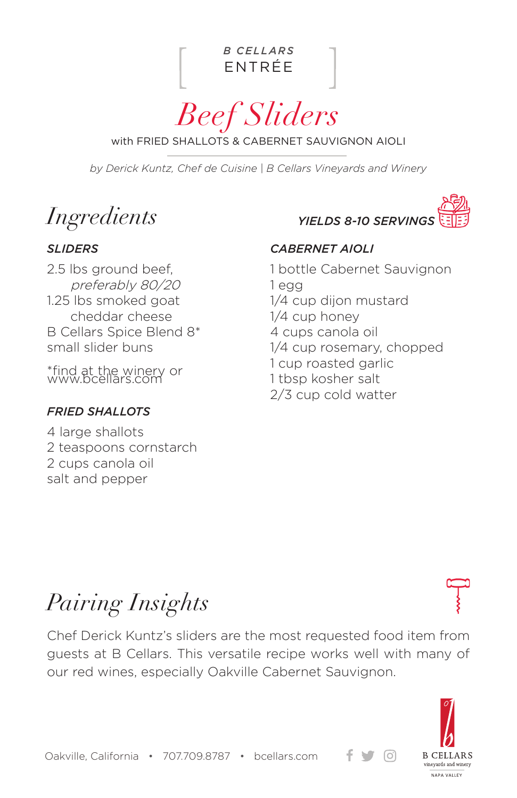

*Beef Sliders*

with FRIED SHALLOTS & CABERNET SAUVIGNON AIOLI

*by Derick Kuntz, Chef de Cuisine | B Cellars Vineyards and Winery*

*Ingredients*

2.5 lbs ground beef, preferably 80/20 1.25 lbs smoked goat cheddar cheese B Cellars Spice Blend 8\* small slider buns

\*find at the winery or www.bcellars.com

#### *FRIED SHALLOTS*

4 large shallots 2 teaspoons cornstarch 2 cups canola oil salt and pepper

*YIELDS 8-10 SERVING* 

### *SLIDERS CABERNET AIOLI*

1 bottle Cabernet Sauvignon 1 egg 1/4 cup dijon mustard 1/4 cup honey 4 cups canola oil 1/4 cup rosemary, chopped 1 cup roasted garlic 1 tbsp kosher salt 2/3 cup cold watter

# *Pairing Insights*

Chef Derick Kuntz's sliders are the most requested food item from guests at B Cellars. This versatile recipe works well with many of our red wines, especially Oakville Cabernet Sauvignon.



 $\lceil$ Oʻl

Oakville, California • 707.709.8787 • bcellars.com